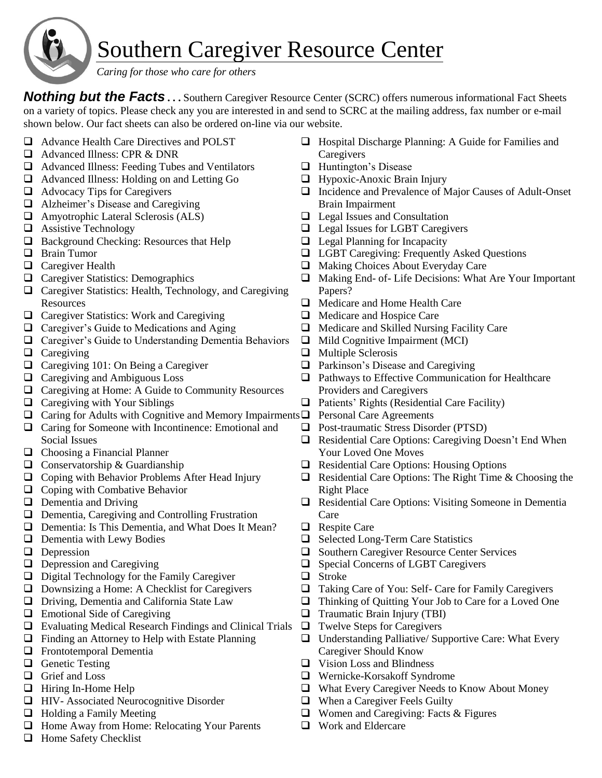

## Southern Caregiver Resource Center

 *Caring for those who care for others*

*Nothing but the Facts* . . . Southern Caregiver Resource Center (SCRC) offers numerous informational Fact Sheets on a variety of topics. Please check any you are interested in and send to SCRC at the mailing address, fax number or e-mail shown below. Our fact sheets can also be ordered on-line via our website.

- ❑ Advance Health Care Directives and POLST ❑ Advanced Illness: CPR & DNR ❑ Advanced Illness: Feeding Tubes and Ventilators ❑ Advanced Illness: Holding on and Letting Go ❑ Advocacy Tips for Caregivers ❑ Alzheimer's Disease and Caregiving ❑ Amyotrophic Lateral Sclerosis (ALS) ❑ Assistive Technology ❑ Background Checking: Resources that Help ❑ Brain Tumor ❑ Caregiver Health ❑ Caregiver Statistics: Demographics ❑ Caregiver Statistics: Health, Technology, and Caregiving **Resources** ❑ Caregiver Statistics: Work and Caregiving ❑ Caregiver's Guide to Medications and Aging ❑ Caregiver's Guide to Understanding Dementia Behaviors ❑ Caregiving ❑ Caregiving 101: On Being a Caregiver ❑ Caregiving and Ambiguous Loss ❑ Caregiving at Home: A Guide to Community Resources ❑ Caregiving with Your Siblings ❑ Caring for Adults with Cognitive and Memory Impairments ❑ Personal Care Agreements ❑ Caring for Someone with Incontinence: Emotional and Social Issues ❑ Choosing a Financial Planner ❑ Conservatorship & Guardianship ❑ Coping with Behavior Problems After Head Injury ❑ Coping with Combative Behavior ❑ Dementia and Driving ❑ Dementia, Caregiving and Controlling Frustration ❑ Dementia: Is This Dementia, and What Does It Mean? ❑ Dementia with Lewy Bodies ❑ Depression ❑ Depression and Caregiving ❑ Digital Technology for the Family Caregiver ❑ Downsizing a Home: A Checklist for Caregivers ❑ Driving, Dementia and California State Law ❑ Emotional Side of Caregiving ❑ Evaluating Medical Research Findings and Clinical Trials ❑ Twelve Steps for Caregivers ❑ Finding an Attorney to Help with Estate Planning ❑ Frontotemporal Dementia ❑ Genetic Testing ❑ Grief and Loss ❑ Hiring In-Home Help ❑ HIV- Associated Neurocognitive Disorder ❑ Holding a Family Meeting ❑ Home Away from Home: Relocating Your Parents **Caregivers** ❑ Huntington's Disease ❑ Hypoxic-Anoxic Brain Injury Brain Impairment ❑ Legal Planning for Incapacity Papers? ❑ Medicare and Hospice Care ❑ Multiple Sclerosis Providers and Caregivers Your Loved One Moves Right Place **Care** ❑ Respite Care ❑ Stroke ❑ Traumatic Brain Injury (TBI) Caregiver Should Know ❑ Vision Loss and Blindness
	- ❑ Home Safety Checklist
- ❑ Hospital Discharge Planning: A Guide for Families and
- ❑ Incidence and Prevalence of Major Causes of Adult-Onset
- ❑ Legal Issues and Consultation
- ❑ Legal Issues for LGBT Caregivers
- ❑ LGBT Caregiving: Frequently Asked Questions
- ❑ Making Choices About Everyday Care
- ❑ Making End- of- Life Decisions: What Are Your Important
- ❑ Medicare and Home Health Care
- ❑ Medicare and Skilled Nursing Facility Care
- ❑ Mild Cognitive Impairment (MCI)
- ❑ Parkinson's Disease and Caregiving
- ❑ Pathways to Effective Communication for Healthcare
- ❑ Patients' Rights (Residential Care Facility)
- ❑ Post-traumatic Stress Disorder (PTSD)
- ❑ Residential Care Options: Caregiving Doesn't End When
- ❑ Residential Care Options: Housing Options
- ❑ Residential Care Options: The Right Time & Choosing the
- ❑ Residential Care Options: Visiting Someone in Dementia
- ❑ Selected Long-Term Care Statistics
- ❑ Southern Caregiver Resource Center Services
- ❑ Special Concerns of LGBT Caregivers
- ❑ Taking Care of You: Self- Care for Family Caregivers
- ❑ Thinking of Quitting Your Job to Care for a Loved One
- 
- ❑ Understanding Palliative/ Supportive Care: What Every
- ❑ Wernicke-Korsakoff Syndrome
- ❑ What Every Caregiver Needs to Know About Money
- ❑ When a Caregiver Feels Guilty
- ❑ Women and Caregiving: Facts & Figures
- ❑ Work and Eldercare